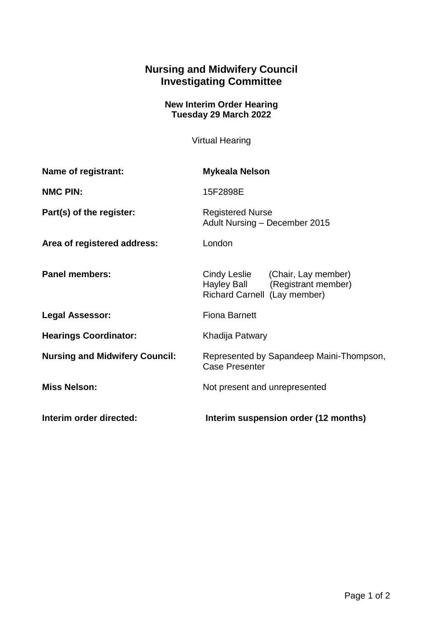## **Nursing and Midwifery Council Investigating Committee**

## **New Interim Order Hearing Tuesday 29 March 2022**

Virtual Hearing

| Name of registrant:                   | <b>Mykeala Nelson</b>                                                                               |
|---------------------------------------|-----------------------------------------------------------------------------------------------------|
| <b>NMC PIN:</b>                       | 15F2898E                                                                                            |
| Part(s) of the register:              | <b>Registered Nurse</b><br>Adult Nursing - December 2015                                            |
| Area of registered address:           | London                                                                                              |
| <b>Panel members:</b>                 | Cindy Leslie (Chair, Lay member)<br>Hayley Ball (Registrant member)<br>Richard Carnell (Lay member) |
| <b>Legal Assessor:</b>                | <b>Fiona Barnett</b>                                                                                |
| <b>Hearings Coordinator:</b>          | Khadija Patwary                                                                                     |
| <b>Nursing and Midwifery Council:</b> | Represented by Sapandeep Maini-Thompson,<br><b>Case Presenter</b>                                   |
| <b>Miss Nelson:</b>                   | Not present and unrepresented                                                                       |
| Interim order directed:               | Interim suspension order (12 months)                                                                |